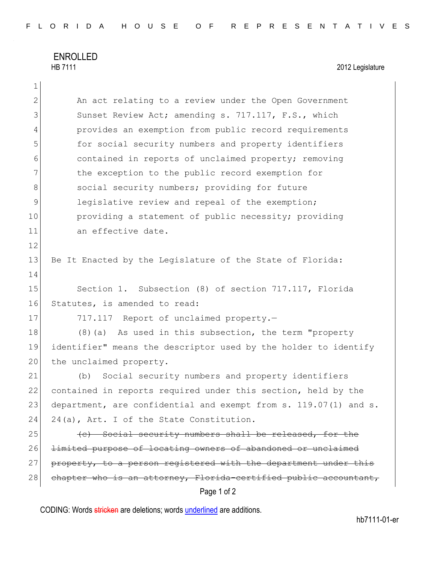## ENROLLED<br>HB 7111

1

## 2012 Legislature

| $\overline{2}$ | An act relating to a review under the Open Government            |  |  |  |  |  |  |  |
|----------------|------------------------------------------------------------------|--|--|--|--|--|--|--|
| 3              | Sunset Review Act; amending s. 717.117, F.S., which              |  |  |  |  |  |  |  |
| 4              | provides an exemption from public record requirements            |  |  |  |  |  |  |  |
| 5              | for social security numbers and property identifiers             |  |  |  |  |  |  |  |
| 6              | contained in reports of unclaimed property; removing             |  |  |  |  |  |  |  |
| 7              | the exception to the public record exemption for                 |  |  |  |  |  |  |  |
| 8              | social security numbers; providing for future                    |  |  |  |  |  |  |  |
| 9              | legislative review and repeal of the exemption;                  |  |  |  |  |  |  |  |
| 10             | providing a statement of public necessity; providing             |  |  |  |  |  |  |  |
| 11             | an effective date.                                               |  |  |  |  |  |  |  |
| 12             |                                                                  |  |  |  |  |  |  |  |
| 13             | Be It Enacted by the Legislature of the State of Florida:        |  |  |  |  |  |  |  |
| 14             |                                                                  |  |  |  |  |  |  |  |
| 15             | Section 1. Subsection (8) of section 717.117, Florida            |  |  |  |  |  |  |  |
| 16             | Statutes, is amended to read:                                    |  |  |  |  |  |  |  |
| 17             | 717.117 Report of unclaimed property.-                           |  |  |  |  |  |  |  |
| 18             | $(8)$ (a) As used in this subsection, the term "property         |  |  |  |  |  |  |  |
| 19             | identifier" means the descriptor used by the holder to identify  |  |  |  |  |  |  |  |
| 20             | the unclaimed property.                                          |  |  |  |  |  |  |  |
| 21             | Social security numbers and property identifiers<br>(b)          |  |  |  |  |  |  |  |
| 22             | contained in reports required under this section, held by the    |  |  |  |  |  |  |  |
| 23             | department, are confidential and exempt from s. 119.07(1) and s. |  |  |  |  |  |  |  |
| 24             | 24(a), Art. I of the State Constitution.                         |  |  |  |  |  |  |  |
| 25             | (e) Social security numbers shall be released, for the           |  |  |  |  |  |  |  |
| 26             | limited purpose of locating owners of abandoned or unclaimed     |  |  |  |  |  |  |  |
| 27             | property, to a person registered with the department under this  |  |  |  |  |  |  |  |
| 28             | chapter who is an attorney, Florida-certified public accountant, |  |  |  |  |  |  |  |
|                | Page 1 of 2                                                      |  |  |  |  |  |  |  |

CODING: Words stricken are deletions; words underlined are additions.